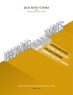

*Jennifer Giancola, Ph.D. and Elizabeth Davidson, Ph.D. January 2015*

RAKI

**INCREASING ACCESS**

**TO FOUR-YEAR COLLEGES** 

**FOR HIGH-ACHIEVING** 

**COMMUNITY COLLEGE STUDENTS**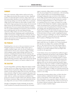#### **SUMMARY**

Many more community college students could succeed at fouryear colleges and universities than are given the chance. Significant numbers of academically gifted community college students start their postsecondary education at two-year institutions for a variety of reasons having nothing to do with their ability. Once at community college, however, these students are often unable to transfer to fouryear bachelor's degree-granting institutions despite their documented ability, because they lack information, advising, financial support, and opportunity. Yet recent research and the experience of students who were awarded scholarships by the Jack Kent Cooke Foundation upon transferring make clear that many high-performing community college students can excel even at the country's elite colleges and universities. Facilitating transfer would benefit both students and institutions of higher education at all levels. How far a student can take his education should be determined by his ability, industry, and creativity, not by the happenstance of the institution where he first began his journey.

### **THE PROBLEM**

Transferring from a two-year to a four-year institution is not easy. Though the majority of community college students aspire to complete a bachelor's degree, only a few succeed. Students face a myriad of barriers thrown up by community colleges, including a lack of adequate, quality transfer advising, and by four-year institutions, including limited financial aid and confusing credit transfer policies. In addition, some four-year institutions unilaterally limit the space allotted to transfers. This is especially unfair to the highest-performing community college students because they already have demonstrated the capacity to do superior college-level work.

#### **THE SOLUTION**

To correct this problem, community colleges must improve transfer advising, and four-year colleges and universities must both expand their recruitment of community college students with successful academic records and better support them once they enroll. Because many community colleges have rigorous programs that prepare their students for further study—with courses that are eligible for transfer credit—both two- and four-year institutions would profit from paying more attention to transfer students; their admission validates the strenuous community college coursework and provides the fouryear college with a new source of (often nontraditional) students.

Through its Undergraduate Transfer Scholarship, the Jack Kent Cooke Foundation has repeatedly demonstrated that with proper

support community college students can transfer to, and graduate from, the most prestigious four-year institutions—with outstanding records. Transfer students excel notwithstanding having lessadvantaged backgrounds; many are the first in their families to attend college, and their families often have incomes well below the poverty level. Fully 35 percent of Cooke Scholars have attended institutions designated by Barron's as "Most Competitive"; one in ten graduated from the Ivy League (see listing in box on page 2). Recent Cooke Scholars have included a computer engineering student who graduated from Cornell (with a final GPA of 3.71), a neuroscience major who graduated from Columbia (3.70 GPA), and a biology major who graduated from Brown (3.85 GPA). Nearly half (47 percent) of Cooke Scholars have gone on to do graduate work, including a student currently completing her Ph.D. at Harvard in history of science, another completing his medical degree at the University of Michigan, one who has completed both an M.B.A. and M.P.A. at Harvard, and one who completed her Ph.D. in physics at Washington State University.

Overall, 97 percent of Cooke Scholars earned their bachelor's degree within three years. In addition, over 76 percent graduated from their four-year colleges with a cumulative GPA higher than 3.5. The record of success of the Cooke Scholars makes it abundantly clear that many more community college graduates could go on to successful completion of four-year degrees than currently have the opportunity.

Cooke Scholars, however, have benefitted from additional support provided or facilitated by the Jack Kent Cooke Foundation. When we analyzed data from the National Student Clearinghouse for 3,600 previous applicants to our scholarship program, we found that while nearly all of our chosen Cooke Scholars attained their bachelor's degree (many at selective schools), only 72 percent of applicants who were not selected attained their bachelor's degree. Fully 28 percent either never enrolled or enrolled and dropped out before completion. All of these students were nominated by their community college for our award and all earned a GPA of at least 3.5 in community college. As colleges were typically permitted only to nominate two students per year; these students represent the best students at each college.

Knowing their incoming academic talents, we believe that these students could have completed their bachelor's degree at rates equal to Cooke Scholars, with the right support. That one in four of them failed to do so represents a huge loss of talent to our nation's workforce. It is likely that these students are just the tip of the iceberg of talented community college students who have the capacity to complete a bachelor's degree.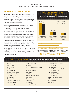# **THE IMPORTANCE OF COMMUNITY COLLEGES**

Every year in the United States, more than seven million students enroll in community colleges.<sup>1</sup> This group constitutes 45 percent of all postsecondary enrollment. A disproportionate number of them come from poor families. While 44 percent of low-income students enroll in community college after high school, only 15 percent of high-income students do so.<sup>2</sup>

Surprisingly, this income disparity holds true for the brightest students. One in four high school students in the top academic quartile of their class who are from families in the bottom socioeconomic quartile will enroll in a two-year (or less than twoyear) college. At the same time, only 10 percent of high-achieving students from families in the top socioeconomic quartile enroll in two-year colleges.<sup>3</sup> In other words, thousands of bright students with the academic readiness to complete a bachelor's degree start out at community colleges *primarily for financial reasons.*

Certainly by educating underprivileged students and setting them on the path toward upward social mobility, community colleges perform an essential public service. Moreover, they are succeeding at raising aspirations; more than 80 percent of first-time community college students aspire to complete a bachelor's degree. Only a little more than one in ten will succeed, however (see chart at right).<sup>4</sup> Skeptics suggest that this low rate of success stems from the transfer students' poor academic preparation.<sup>5</sup> But that is not true; even the best-prepared and most talented community college students face similar odds.

# **DEGREE ASPIRATIONS AND TRANSFER BY INCOME LEVEL**

**(For First-time Beginning Community College Students)**



- 1. U.S. Department of Education *[Digest of Education Statistics 2013.](http://nces.ed.gov/programs/digest/d13/tables/dt13_303.25.asp)*
- 2. [National Center for Public Policy and Higher Education](http://www.highereducation.org/reports/pa_at/index.shtml)
- 3. Education Trust, *[Falling Out of the Lead: Following High Achievers Through High](http://www.edtrust.org/fallingoutofthelead)  School and Beyond,* [2014. Difference significant at the p<0.05 level.](http://www.edtrust.org/fallingoutofthelead)
- 4. Horn, L. and Skomsvold, P. Community College Student Outcomes: 1994-2009. U.S. Department of Education Web Table NCES 2012-253. November 2011.
- 5. [See comments on Richard Kahlenberg's article "Facilitating Community-College](http://chronicle.com/blogs/innovations/facilitating-community-college-transfers/29590)  Transfers", *[The Chronicle of Higher Education,](http://chronicle.com/blogs/innovations/facilitating-community-college-transfers/29590)* June 3,2011.

# **INSTITUTIONS ATTENDED BY COOKE UNDERGRADUATE TRANSFER SCHOLARS INCLUDE:**

Amherst College Brevard College Brown University Bryn Mawr College Bucknell University Claremont McKenna College College of William & Mary Columbia University Cornell University Emory University George Washington University Georgetown University Harvard University

Johns Hopkins University Lehigh University Massachusetts Institute of Technology New York University Northwestern University Oberlin College Reed College Rensselaer Polytechnic Institute Smith College Stanford University Tufts University Tulane University University of California, Berkeley

University of California, Los Angeles University of Chicago University of Miami University of North Carolina at Chapel Hill University of Pennsylvania University of Rochester University of Southern California University of Virginia Washington University in St. Louis Wellesley College Wesleyan University Yale University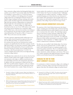Many community college students had distinguished high school academic careers. Fully 35.5 percent had a high school GPA above 3.0, including 11.5 percent above 3.5.6 Yet they face barriers at every level. In addition to the challenges that *all* community college students face in navigating the path from associate to bachelor's degree (inadequate advising, confusing credit transfer policies, murky articulation agreements, limited financial aid), high-achieving community college graduates are hampered by limited transfer slots at the institutions best suited for their academic ability—i.e., selective colleges. In a 2006 study, we found that less than one out of every 1,000 students at the nation's most selective private institutions was a community college transfer. What's more, at that time the trend lines were heading in the wrong direction: the percentage of transfer students at these schools declined from 10.5 percent in 1984 to 5.7 percent in 2002. $^7$  These are the most recent data available. $^8$ 

Our direct experience supporting transfer students gives us no reason to believe that the situation has improved in the years since the 2006 study. Rather, our experience has led us to the conclusion that many four-year institutions have transfer acceptance rates significantly lower than their acceptance rates for high school students, even when these community college students have already excelled academically at the post-secondary level. Princeton University, for instance, has an outright moratorium on transfers, while Harvard admitted just 15 in 2012.<sup>9</sup> (In contrast, Columbia and Cornell actively recruit high-performing community college students.)

The difficulties these students face do not end once they have been admitted. Transfer students often struggle to integrate into their new institution as they adapt to a different instructional style, more demanding coursework, and varying faculty expectations.<sup>10</sup> In addition, their time commitments to family and work can affect their successful academic integration, as they try to balance their personal lives and school work. Data collected by the Jack Kent Cooke Foundation from a sample of high-achieving, lowincome students who transferred to a four-year institution in the fall of 2012 indicate that 92 percent of students found it "challenging" to manage their new academic work load.<sup>11</sup> In addition, 20 percent considered dropping out of school their first year. Yet because of their academic talent and persistence they prevailed; all but one of these students were still enrolled in spring of 2014, on the way to graduation. More telling, 93 percent had a B average or better.

### **COOKE SCHOLARS DEMONSTRATE EXCELLENCE**

The experience of the Cooke Scholars demonstrates that if given support, including grant aid and high-quality, professional advising, students with financial need can attain academic success at the same rate or even better than other students. The scholarship recipients chosen in 2014 had an average community college GPA of 3.98 and 79 percent were the first in their families to attend college. Their median adjusted gross income was \$4,500.<sup>12</sup> It is telling that 88 percent of these scholars matriculated at an institution classified by Barron's as "Most Competitive" or "Highly Competitive;" the students' competitiveness in admissions is undeniable.

Year after year, once enrolled, Cooke Scholars shine. Over the last decade, 76 percent have graduated with a 3.5 GPA or higher. As noted, Cooke Scholars have gone on to graduate programs at the nation's best graduate institutions. They are contributing members of the workforce, including as engineers, artists, physicians, policy analysts, biochemists, software developers, and attorneys. This success story could be expanded if other high-performing community college students received similar financial and counseling support.

### **CHANGING THE WAY WE THINK ABOUT COMMUNITY COLLEGES**

It is anachronistic to think of community colleges as the weaklings of academia. Community college coursework is becoming much more rigorous. More than 160 community colleges now sponsor honors

- 6. Provasnik, S. & Planty, M. (2008) *Community Colleges: Special Supplement to the Condition of Education 2008.* National Center for Education Statistics, U.S. Department of Education.
- 7. [Dowd, A., Bensimon, E.M., Gabbard, G., Singleton, S., Macias, E., Dee,](http://www.jkcf.org/assets/1/7/Threading_the_Needle-Executive_Summary.pdf)  [J., Melguizo, T., Cheslock, J. & Giles, D. \(2006\)](http://www.jkcf.org/assets/1/7/Threading_the_Needle-Executive_Summary.pdf) *Threading the Needle of the American Dream,* [Executive Summary.](http://www.jkcf.org/assets/1/7/Threading_the_Needle-Executive_Summary.pdf)
- 8. While the federal government's Integrated Postsecondary Education Data System does capture transfer students, it does not distinguish between students who transfer from two-year versus four-year institutions.
- 9. Petey E. Mentz (2012). "The Real 1%: Harvard Admits 15 Transfer Students." *[The Harvard Crimson.](http://www.thecrimson.com/article/2012/6/21/transfer-admissions-one-percent/)*
- 10. Townsend, B. K. & Wilson, K. B. (2009). *The academic and social integration of persisting community college transfer students.* Journal of College Student Retention, 10(4), 405-423.
- 11. Schmertz, B. & Carney, J. (2013) *[Making the Leap: Understanding the Successful](http://www.jkcf.org/assets/1/7/Making_the_Leap_Successful_Transfer_of_High_Achieving_Low_Income_Students_(October_2013).pdf)  [Transfer of High-Achieving, Low-Income Community College Students to Four Year](http://www.jkcf.org/assets/1/7/Making_the_Leap_Successful_Transfer_of_High_Achieving_Low_Income_Students_(October_2013).pdf)  Institutions.* [Jack Kent Cooke Foundation. Presented at Association for the Study](http://www.jkcf.org/assets/1/7/Making_the_Leap_Successful_Transfer_of_High_Achieving_Low_Income_Students_(October_2013).pdf)  [of Higher Education annual conference.](http://www.jkcf.org/assets/1/7/Making_the_Leap_Successful_Transfer_of_High_Achieving_Low_Income_Students_(October_2013).pdf)
- 12. Adjusted Gross Income (AGI) is a family's total income minus certain tax deductions. The median AGI is the level that divides the pool of scholars in half (i.e., half have more and half have less than the median AGI).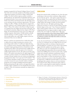programs recognized by the National Collegiate Honors Council.<sup>13</sup> One of the most noteworthy examples of a flourishing community college honors program is the Honors College at Miami Dade College. The school combines rigorous academic standards, a global perspective, the opportunity for leadership experiences, and an experienced faculty; it serves some of the best young minds in Florida. The students earn financial awards, take advantage of oneon-one advising, and enjoy enrichment opportunities. The Honors College even offers a "Bridge to the Baccalaureate" program that provides a pathway to earn a bachelor's degree at the University of Miami.14 Many of the students in this Honors College have gone on to graduate from top colleges and universities nationwide. Over one thousand community colleges also have chapters of Phi Theta Kappa, the international honors society of two-year colleges and academic programs, which inducts 133,000 members annually, typically requiring a 3.5 GPA to qualify.15 In short, there are many strong students who could credibly compete in four-year institutions if they were not walled off.

Both two- and four-year institutions have it within their ambit to address this issue simply by paying more attention to the issues facing transfer students. To enable more high-achieving, low- to moderate-income community college students to transfer to bachelor's degree granting institutions, the Jack Kent Cooke Foundation from 2006 to 2014 partnered with 14 highly selective colleges and universities under the auspices of its Community College Transfer Initiative (CCTI). The results: in just three years, almost 1,100 students matriculated into the eight inaugural CCTI institutions, and they attained a 3.0 combined GPA. Remarkably, a number of faculty members who were critical at the beginning of the program later asked, "Can we get more CCTI students?"16 The CCTI initiative identified a number of steps four-year institutions can take to increase the success of transfer students, including paving the way for change by building institutional support, finding and preparing the right students, and supporting students through to degree completion (see more detailed discussion in box on page 5). Only a few institutions nationally have adopted all of these measures.

### **CONCLUSION**

Results from national studies, including our own, show that upon transferring to a four-year school, community college students do more than just "get by"—they equal or surpass their peers at their new schools. Recent analyses from the National Student Clearinghouse indicate that nationally 60 percent of community college students who manage to transfer earn their bachelor's degree within four years. The highest performing college students do even better: 97 percent of Cooke Scholars earn their bachelor's degree in three years.<sup>17</sup> Since 59 percent of bachelor's degree students graduate within six years, transfer students are completing their four-year degrees actually at a *higher rate* than students who came straight out of high school.<sup>18</sup> The recent research and the experience of the Cooke Scholars makes it simply undeniable that community college transfer students are just as competent as students who begin their studies at a four-year college, and maybe more so.

In sum, the structural barriers to transferring are problematic on two levels. At a minimum, four-year colleges that do not recruit high-performing transfers are missing an important pool of potential applicants. Certainly, the success of the Cooke Scholars suggests that able candidates exist and that, given a chance, they will do very well. On an individual level, the walls that have kept high-performing students who are potential transfer students from fulfilling their potential are grossly unfair. A gifted student who is denied an education commensurate with her abilities will not make as large a contribution to the common good, to their families or to their own personal success. We do ourselves a disservice as a society to deny these gifted students the opportunity to fulfill their potential simply in virtue of their having begun their academic careers at a two-year institution. The message for both colleges and education policy makers is clear: where a student began her studies should not ineluctably determine her entire academic career or her life chances.

15. [Phi Theta Kappa](www.ptk.org)

- [17.](http://www.jkcf.org/assets/1/7/promise_of_the_transfer_pathway.pdf) Shapiro, D. & Dundar, A. (2013) *Baccalaureate Attainment: A National View of the Postsecondary Outcomes of Students Who Transfer from Two-Year to Four-Year Institutions.* National Student Clearinghouse Research Center.
- 18. [U.S. Department of Education, National Center for Education Statistics.](http://nces.ed.gov/fastfacts/display.asp?id=40)  [\(2014\). The Condition of Education 2014 \(NCES 2014-083\)](http://nces.ed.gov/fastfacts/display.asp?id=40)

<sup>13.</sup> [National Collegiate Honors Council](http://nchchonors.org/members-area/member-institutions-4/)

<sup>14.</sup> [Miami Dade College](https://www.mdc.edu/honorscollege/about.aspx)

<sup>16.</sup> [Jack Kent Cooke Foundation \(2014\)](http://www.jkcf.org/assets/1/7/JKCF_CCTI_Summary_for_Web.pdf) *Partnerships that Promote Success: [Lessons and findings from the evaluation of the Jack Kent Cooke Foundation's](http://www.jkcf.org/assets/1/7/JKCF_CCTI_Summary_for_Web.pdf)  [Community College Transfer Initiative.](http://www.jkcf.org/assets/1/7/JKCF_CCTI_Summary_for_Web.pdf)*